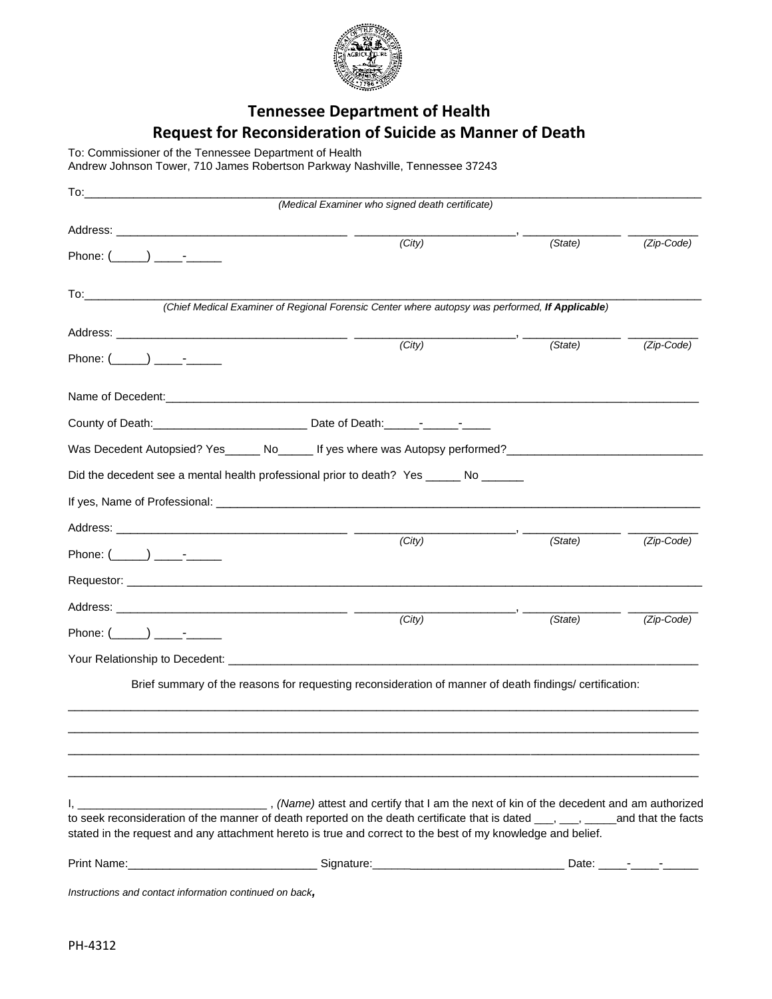

## **Tennessee Department of Health Request for Reconsideration of Suicide as Manner of Death**

To: Commissioner of the Tennessee Department of Health

Andrew Johnson Tower, 710 James Robertson Parkway Nashville, Tennessee 37243

| To:                                                     |                                                                                                                                                                                                                                                |         |            |
|---------------------------------------------------------|------------------------------------------------------------------------------------------------------------------------------------------------------------------------------------------------------------------------------------------------|---------|------------|
|                                                         | (Medical Examiner who signed death certificate)                                                                                                                                                                                                |         |            |
|                                                         |                                                                                                                                                                                                                                                |         |            |
|                                                         | $\overline{(City)}$                                                                                                                                                                                                                            | (State) | (Zip-Code) |
| To:_____________                                        | (Chief Medical Examiner of Regional Forensic Center where autopsy was performed, If Applicable)                                                                                                                                                |         |            |
|                                                         |                                                                                                                                                                                                                                                |         |            |
|                                                         | (City)                                                                                                                                                                                                                                         | (State) | (Zip-Code) |
|                                                         |                                                                                                                                                                                                                                                |         |            |
|                                                         |                                                                                                                                                                                                                                                |         |            |
|                                                         |                                                                                                                                                                                                                                                |         |            |
|                                                         | Was Decedent Autopsied? Yes ______ No ______ If yes where was Autopsy performed?                                                                                                                                                               |         |            |
|                                                         | Did the decedent see a mental health professional prior to death? Yes ______ No ______                                                                                                                                                         |         |            |
|                                                         |                                                                                                                                                                                                                                                |         |            |
|                                                         |                                                                                                                                                                                                                                                |         |            |
| Phone: $(\_\_\_\_) \_\_\_\$                             | (City)                                                                                                                                                                                                                                         | (State) | (Zip-Code) |
|                                                         |                                                                                                                                                                                                                                                |         |            |
|                                                         |                                                                                                                                                                                                                                                |         |            |
| Phone: $(\_\_\_\_) \_\_\_\$                             | (City)                                                                                                                                                                                                                                         | (State) | (Zip-Code) |
|                                                         |                                                                                                                                                                                                                                                |         |            |
|                                                         | Brief summary of the reasons for requesting reconsideration of manner of death findings/ certification:                                                                                                                                        |         |            |
|                                                         |                                                                                                                                                                                                                                                |         |            |
|                                                         |                                                                                                                                                                                                                                                |         |            |
|                                                         |                                                                                                                                                                                                                                                |         |            |
| $\mathbf{I}_{\mathbf{r}}$ and $\mathbf{I}_{\mathbf{r}}$ |                                                                                                                                                                                                                                                |         |            |
|                                                         | to seek reconsideration of the manner of death reported on the death certificate that is dated ___, ___, ____and that the facts<br>stated in the request and any attachment hereto is true and correct to the best of my knowledge and belief. |         |            |
|                                                         |                                                                                                                                                                                                                                                |         |            |
| Instructions and contact information continued on back, |                                                                                                                                                                                                                                                |         |            |